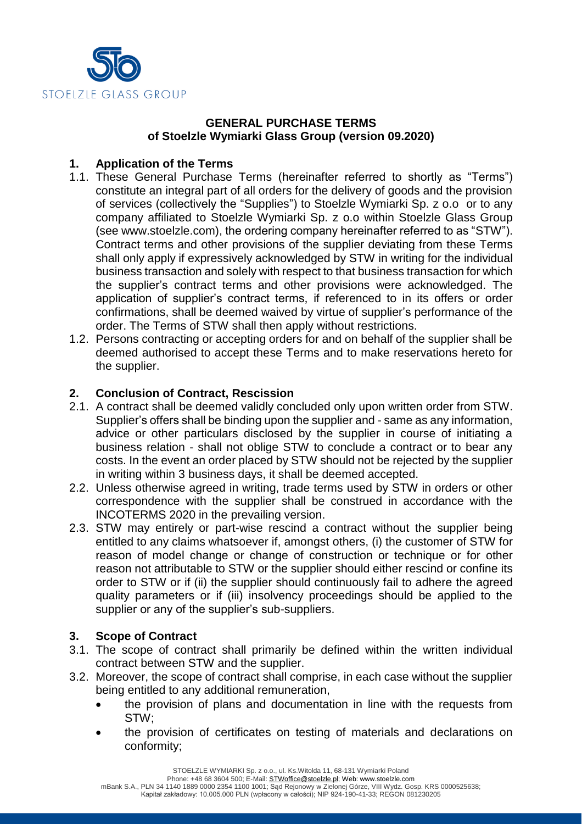

## **GENERAL PURCHASE TERMS of Stoelzle Wymiarki Glass Group (version 09.2020)**

# **1. Application of the Terms**

- 1.1. These General Purchase Terms (hereinafter referred to shortly as "Terms") constitute an integral part of all orders for the delivery of goods and the provision of services (collectively the "Supplies") to Stoelzle Wymiarki Sp. z o.o or to any company affiliated to Stoelzle Wymiarki Sp. z o.o within Stoelzle Glass Group (see www.stoelzle.com), the ordering company hereinafter referred to as "STW"). Contract terms and other provisions of the supplier deviating from these Terms shall only apply if expressively acknowledged by STW in writing for the individual business transaction and solely with respect to that business transaction for which the supplier's contract terms and other provisions were acknowledged. The application of supplier's contract terms, if referenced to in its offers or order confirmations, shall be deemed waived by virtue of supplier's performance of the order. The Terms of STW shall then apply without restrictions.
- 1.2. Persons contracting or accepting orders for and on behalf of the supplier shall be deemed authorised to accept these Terms and to make reservations hereto for the supplier.

# **2. Conclusion of Contract, Rescission**

- 2.1. A contract shall be deemed validly concluded only upon written order from STW. Supplier's offers shall be binding upon the supplier and - same as any information, advice or other particulars disclosed by the supplier in course of initiating a business relation - shall not oblige STW to conclude a contract or to bear any costs. In the event an order placed by STW should not be rejected by the supplier in writing within 3 business days, it shall be deemed accepted.
- 2.2. Unless otherwise agreed in writing, trade terms used by STW in orders or other correspondence with the supplier shall be construed in accordance with the INCOTERMS 2020 in the prevailing version.
- 2.3. STW may entirely or part-wise rescind a contract without the supplier being entitled to any claims whatsoever if, amongst others, (i) the customer of STW for reason of model change or change of construction or technique or for other reason not attributable to STW or the supplier should either rescind or confine its order to STW or if (ii) the supplier should continuously fail to adhere the agreed quality parameters or if (iii) insolvency proceedings should be applied to the supplier or any of the supplier's sub-suppliers.

# **3. Scope of Contract**

- 3.1. The scope of contract shall primarily be defined within the written individual contract between STW and the supplier.
- 3.2. Moreover, the scope of contract shall comprise, in each case without the supplier being entitled to any additional remuneration,
	- the provision of plans and documentation in line with the requests from STW;
	- the provision of certificates on testing of materials and declarations on conformity;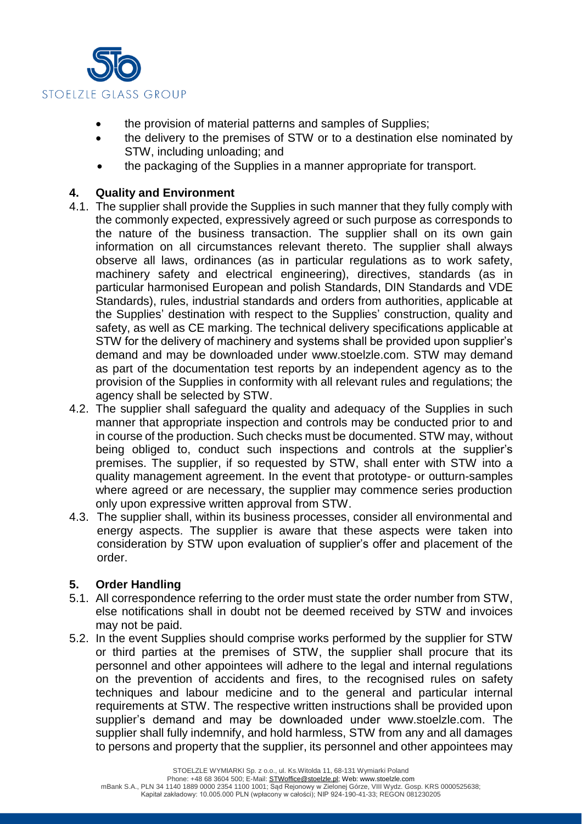

- the provision of material patterns and samples of Supplies;
- the delivery to the premises of STW or to a destination else nominated by STW, including unloading; and
- the packaging of the Supplies in a manner appropriate for transport.

### **4. Quality and Environment**

- 4.1. The supplier shall provide the Supplies in such manner that they fully comply with the commonly expected, expressively agreed or such purpose as corresponds to the nature of the business transaction. The supplier shall on its own gain information on all circumstances relevant thereto. The supplier shall always observe all laws, ordinances (as in particular regulations as to work safety, machinery safety and electrical engineering), directives, standards (as in particular harmonised European and polish Standards, DIN Standards and VDE Standards), rules, industrial standards and orders from authorities, applicable at the Supplies' destination with respect to the Supplies' construction, quality and safety, as well as CE marking. The technical delivery specifications applicable at STW for the delivery of machinery and systems shall be provided upon supplier's demand and may be downloaded under www.stoelzle.com. STW may demand as part of the documentation test reports by an independent agency as to the provision of the Supplies in conformity with all relevant rules and regulations; the agency shall be selected by STW.
- 4.2. The supplier shall safeguard the quality and adequacy of the Supplies in such manner that appropriate inspection and controls may be conducted prior to and in course of the production. Such checks must be documented. STW may, without being obliged to, conduct such inspections and controls at the supplier's premises. The supplier, if so requested by STW, shall enter with STW into a quality management agreement. In the event that prototype- or outturn-samples where agreed or are necessary, the supplier may commence series production only upon expressive written approval from STW.
- 4.3. The supplier shall, within its business processes, consider all environmental and energy aspects. The supplier is aware that these aspects were taken into consideration by STW upon evaluation of supplier's offer and placement of the order.

### **5. Order Handling**

- 5.1. All correspondence referring to the order must state the order number from STW, else notifications shall in doubt not be deemed received by STW and invoices may not be paid.
- 5.2. In the event Supplies should comprise works performed by the supplier for STW or third parties at the premises of STW, the supplier shall procure that its personnel and other appointees will adhere to the legal and internal regulations on the prevention of accidents and fires, to the recognised rules on safety techniques and labour medicine and to the general and particular internal requirements at STW. The respective written instructions shall be provided upon supplier's demand and may be downloaded under www.stoelzle.com. The supplier shall fully indemnify, and hold harmless, STW from any and all damages to persons and property that the supplier, its personnel and other appointees may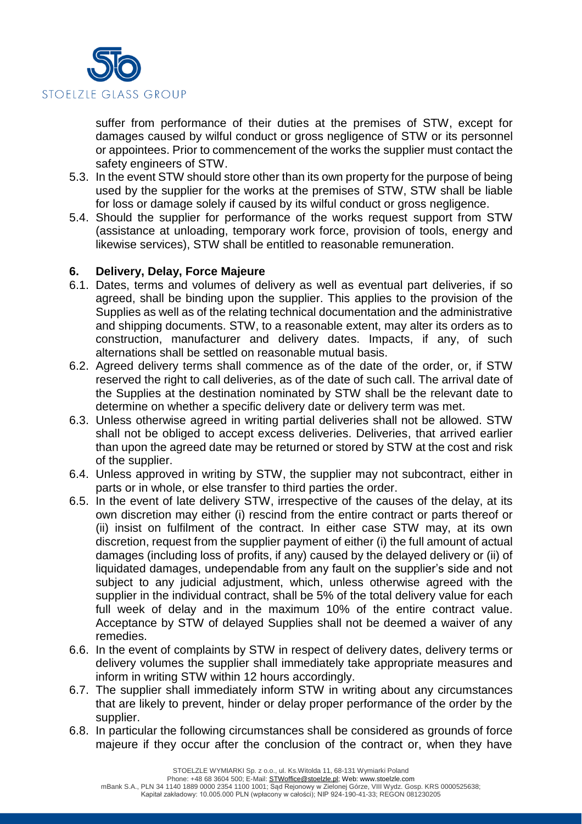

suffer from performance of their duties at the premises of STW, except for damages caused by wilful conduct or gross negligence of STW or its personnel or appointees. Prior to commencement of the works the supplier must contact the safety engineers of STW.

- 5.3. In the event STW should store other than its own property for the purpose of being used by the supplier for the works at the premises of STW, STW shall be liable for loss or damage solely if caused by its wilful conduct or gross negligence.
- 5.4. Should the supplier for performance of the works request support from STW (assistance at unloading, temporary work force, provision of tools, energy and likewise services), STW shall be entitled to reasonable remuneration.

### **6. Delivery, Delay, Force Majeure**

- 6.1. Dates, terms and volumes of delivery as well as eventual part deliveries, if so agreed, shall be binding upon the supplier. This applies to the provision of the Supplies as well as of the relating technical documentation and the administrative and shipping documents. STW, to a reasonable extent, may alter its orders as to construction, manufacturer and delivery dates. Impacts, if any, of such alternations shall be settled on reasonable mutual basis.
- 6.2. Agreed delivery terms shall commence as of the date of the order, or, if STW reserved the right to call deliveries, as of the date of such call. The arrival date of the Supplies at the destination nominated by STW shall be the relevant date to determine on whether a specific delivery date or delivery term was met.
- 6.3. Unless otherwise agreed in writing partial deliveries shall not be allowed. STW shall not be obliged to accept excess deliveries. Deliveries, that arrived earlier than upon the agreed date may be returned or stored by STW at the cost and risk of the supplier.
- 6.4. Unless approved in writing by STW, the supplier may not subcontract, either in parts or in whole, or else transfer to third parties the order.
- 6.5. In the event of late delivery STW, irrespective of the causes of the delay, at its own discretion may either (i) rescind from the entire contract or parts thereof or (ii) insist on fulfilment of the contract. In either case STW may, at its own discretion, request from the supplier payment of either (i) the full amount of actual damages (including loss of profits, if any) caused by the delayed delivery or (ii) of liquidated damages, undependable from any fault on the supplier's side and not subject to any judicial adjustment, which, unless otherwise agreed with the supplier in the individual contract, shall be 5% of the total delivery value for each full week of delay and in the maximum 10% of the entire contract value. Acceptance by STW of delayed Supplies shall not be deemed a waiver of any remedies.
- 6.6. In the event of complaints by STW in respect of delivery dates, delivery terms or delivery volumes the supplier shall immediately take appropriate measures and inform in writing STW within 12 hours accordingly.
- 6.7. The supplier shall immediately inform STW in writing about any circumstances that are likely to prevent, hinder or delay proper performance of the order by the supplier.
- 6.8. In particular the following circumstances shall be considered as grounds of force majeure if they occur after the conclusion of the contract or, when they have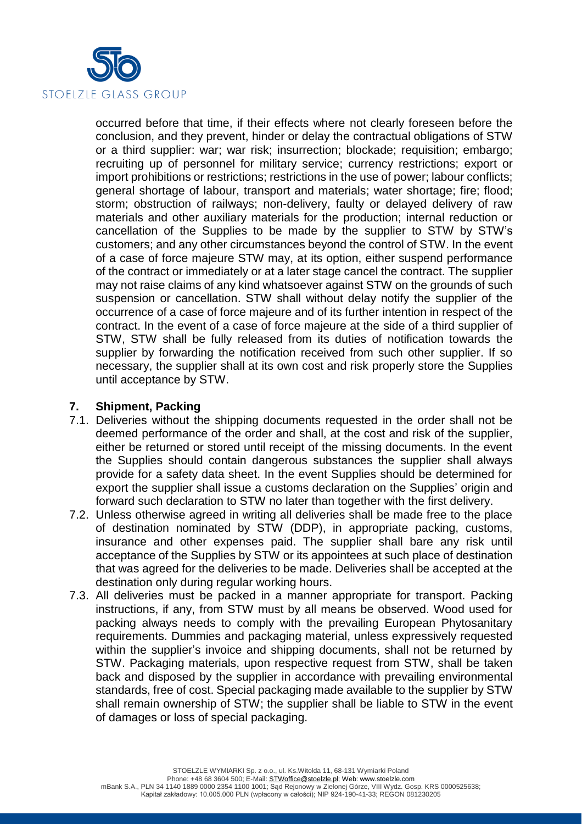

occurred before that time, if their effects where not clearly foreseen before the conclusion, and they prevent, hinder or delay the contractual obligations of STW or a third supplier: war; war risk; insurrection; blockade; requisition; embargo; recruiting up of personnel for military service; currency restrictions; export or import prohibitions or restrictions; restrictions in the use of power; labour conflicts; general shortage of labour, transport and materials; water shortage; fire; flood; storm; obstruction of railways; non-delivery, faulty or delayed delivery of raw materials and other auxiliary materials for the production; internal reduction or cancellation of the Supplies to be made by the supplier to STW by STW's customers; and any other circumstances beyond the control of STW. In the event of a case of force majeure STW may, at its option, either suspend performance of the contract or immediately or at a later stage cancel the contract. The supplier may not raise claims of any kind whatsoever against STW on the grounds of such suspension or cancellation. STW shall without delay notify the supplier of the occurrence of a case of force majeure and of its further intention in respect of the contract. In the event of a case of force majeure at the side of a third supplier of STW, STW shall be fully released from its duties of notification towards the supplier by forwarding the notification received from such other supplier. If so necessary, the supplier shall at its own cost and risk properly store the Supplies until acceptance by STW.

## **7. Shipment, Packing**

- 7.1. Deliveries without the shipping documents requested in the order shall not be deemed performance of the order and shall, at the cost and risk of the supplier, either be returned or stored until receipt of the missing documents. In the event the Supplies should contain dangerous substances the supplier shall always provide for a safety data sheet. In the event Supplies should be determined for export the supplier shall issue a customs declaration on the Supplies' origin and forward such declaration to STW no later than together with the first delivery.
- 7.2. Unless otherwise agreed in writing all deliveries shall be made free to the place of destination nominated by STW (DDP), in appropriate packing, customs, insurance and other expenses paid. The supplier shall bare any risk until acceptance of the Supplies by STW or its appointees at such place of destination that was agreed for the deliveries to be made. Deliveries shall be accepted at the destination only during regular working hours.
- 7.3. All deliveries must be packed in a manner appropriate for transport. Packing instructions, if any, from STW must by all means be observed. Wood used for packing always needs to comply with the prevailing European Phytosanitary requirements. Dummies and packaging material, unless expressively requested within the supplier's invoice and shipping documents, shall not be returned by STW. Packaging materials, upon respective request from STW, shall be taken back and disposed by the supplier in accordance with prevailing environmental standards, free of cost. Special packaging made available to the supplier by STW shall remain ownership of STW; the supplier shall be liable to STW in the event of damages or loss of special packaging.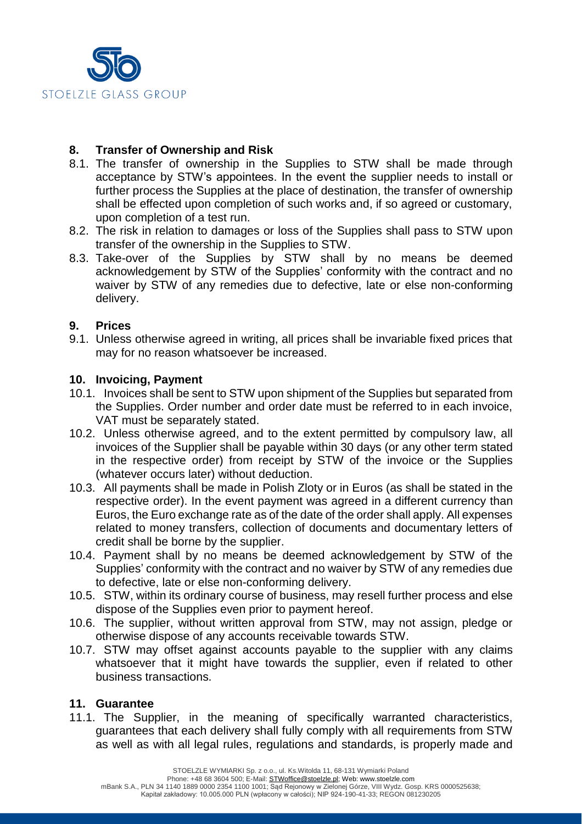

## **8. Transfer of Ownership and Risk**

- 8.1. The transfer of ownership in the Supplies to STW shall be made through acceptance by STW's appointees. In the event the supplier needs to install or further process the Supplies at the place of destination, the transfer of ownership shall be effected upon completion of such works and, if so agreed or customary, upon completion of a test run.
- 8.2. The risk in relation to damages or loss of the Supplies shall pass to STW upon transfer of the ownership in the Supplies to STW.
- 8.3. Take-over of the Supplies by STW shall by no means be deemed acknowledgement by STW of the Supplies' conformity with the contract and no waiver by STW of any remedies due to defective, late or else non-conforming delivery.

## **9. Prices**

9.1. Unless otherwise agreed in writing, all prices shall be invariable fixed prices that may for no reason whatsoever be increased.

#### **10. Invoicing, Payment**

- 10.1. Invoices shall be sent to STW upon shipment of the Supplies but separated from the Supplies. Order number and order date must be referred to in each invoice, VAT must be separately stated.
- 10.2. Unless otherwise agreed, and to the extent permitted by compulsory law, all invoices of the Supplier shall be payable within 30 days (or any other term stated in the respective order) from receipt by STW of the invoice or the Supplies (whatever occurs later) without deduction.
- 10.3. All payments shall be made in Polish Zloty or in Euros (as shall be stated in the respective order). In the event payment was agreed in a different currency than Euros, the Euro exchange rate as of the date of the order shall apply. All expenses related to money transfers, collection of documents and documentary letters of credit shall be borne by the supplier.
- 10.4. Payment shall by no means be deemed acknowledgement by STW of the Supplies' conformity with the contract and no waiver by STW of any remedies due to defective, late or else non-conforming delivery.
- 10.5. STW, within its ordinary course of business, may resell further process and else dispose of the Supplies even prior to payment hereof.
- 10.6. The supplier, without written approval from STW, may not assign, pledge or otherwise dispose of any accounts receivable towards STW.
- 10.7. STW may offset against accounts payable to the supplier with any claims whatsoever that it might have towards the supplier, even if related to other business transactions.

#### **11. Guarantee**

11.1. The Supplier, in the meaning of specifically warranted characteristics, guarantees that each delivery shall fully comply with all requirements from STW as well as with all legal rules, regulations and standards, is properly made and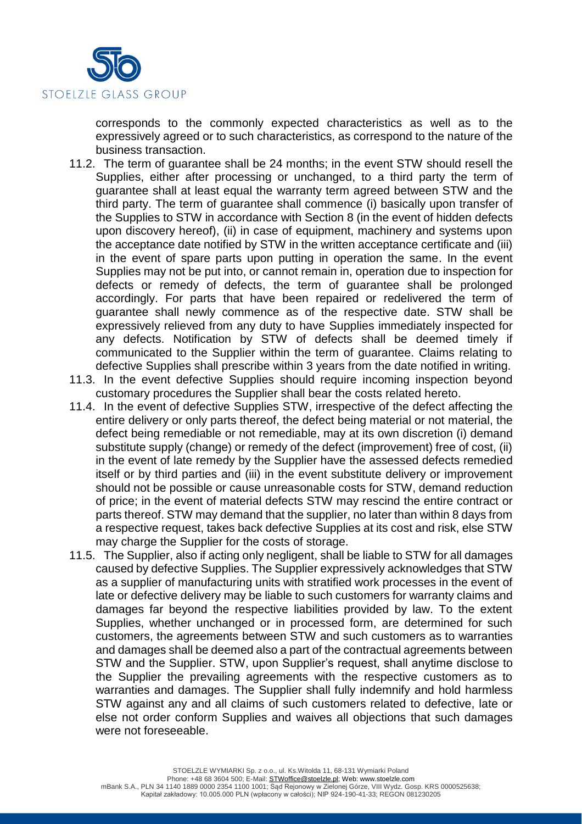

corresponds to the commonly expected characteristics as well as to the expressively agreed or to such characteristics, as correspond to the nature of the business transaction.

- 11.2. The term of guarantee shall be 24 months; in the event STW should resell the Supplies, either after processing or unchanged, to a third party the term of guarantee shall at least equal the warranty term agreed between STW and the third party. The term of guarantee shall commence (i) basically upon transfer of the Supplies to STW in accordance with Section 8 (in the event of hidden defects upon discovery hereof), (ii) in case of equipment, machinery and systems upon the acceptance date notified by STW in the written acceptance certificate and (iii) in the event of spare parts upon putting in operation the same. In the event Supplies may not be put into, or cannot remain in, operation due to inspection for defects or remedy of defects, the term of guarantee shall be prolonged accordingly. For parts that have been repaired or redelivered the term of guarantee shall newly commence as of the respective date. STW shall be expressively relieved from any duty to have Supplies immediately inspected for any defects. Notification by STW of defects shall be deemed timely if communicated to the Supplier within the term of guarantee. Claims relating to defective Supplies shall prescribe within 3 years from the date notified in writing.
- 11.3. In the event defective Supplies should require incoming inspection beyond customary procedures the Supplier shall bear the costs related hereto.
- 11.4. In the event of defective Supplies STW, irrespective of the defect affecting the entire delivery or only parts thereof, the defect being material or not material, the defect being remediable or not remediable, may at its own discretion (i) demand substitute supply (change) or remedy of the defect (improvement) free of cost, (ii) in the event of late remedy by the Supplier have the assessed defects remedied itself or by third parties and (iii) in the event substitute delivery or improvement should not be possible or cause unreasonable costs for STW, demand reduction of price; in the event of material defects STW may rescind the entire contract or parts thereof. STW may demand that the supplier, no later than within 8 days from a respective request, takes back defective Supplies at its cost and risk, else STW may charge the Supplier for the costs of storage.
- 11.5. The Supplier, also if acting only negligent, shall be liable to STW for all damages caused by defective Supplies. The Supplier expressively acknowledges that STW as a supplier of manufacturing units with stratified work processes in the event of late or defective delivery may be liable to such customers for warranty claims and damages far beyond the respective liabilities provided by law. To the extent Supplies, whether unchanged or in processed form, are determined for such customers, the agreements between STW and such customers as to warranties and damages shall be deemed also a part of the contractual agreements between STW and the Supplier. STW, upon Supplier's request, shall anytime disclose to the Supplier the prevailing agreements with the respective customers as to warranties and damages. The Supplier shall fully indemnify and hold harmless STW against any and all claims of such customers related to defective, late or else not order conform Supplies and waives all objections that such damages were not foreseeable.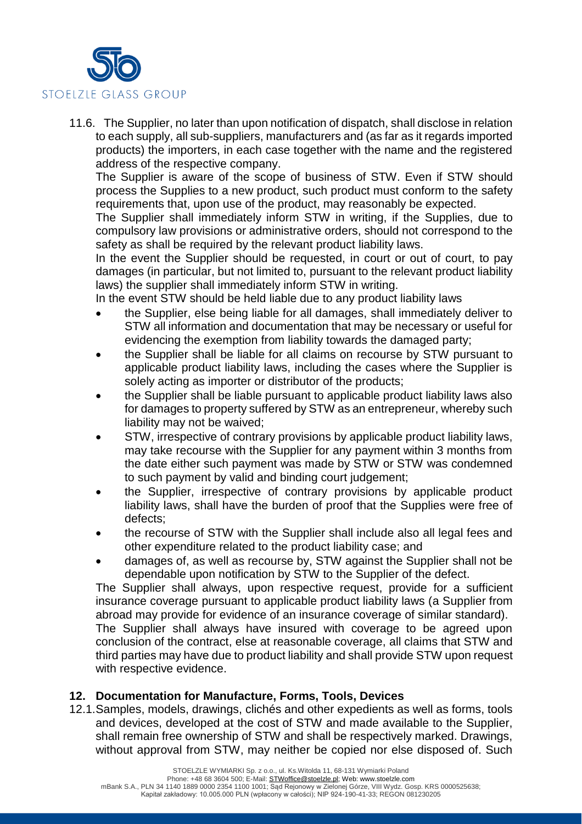

11.6. The Supplier, no later than upon notification of dispatch, shall disclose in relation to each supply, all sub-suppliers, manufacturers and (as far as it regards imported products) the importers, in each case together with the name and the registered address of the respective company.

The Supplier is aware of the scope of business of STW. Even if STW should process the Supplies to a new product, such product must conform to the safety requirements that, upon use of the product, may reasonably be expected.

The Supplier shall immediately inform STW in writing, if the Supplies, due to compulsory law provisions or administrative orders, should not correspond to the safety as shall be required by the relevant product liability laws.

In the event the Supplier should be requested, in court or out of court, to pay damages (in particular, but not limited to, pursuant to the relevant product liability laws) the supplier shall immediately inform STW in writing.

In the event STW should be held liable due to any product liability laws

- the Supplier, else being liable for all damages, shall immediately deliver to STW all information and documentation that may be necessary or useful for evidencing the exemption from liability towards the damaged party;
- the Supplier shall be liable for all claims on recourse by STW pursuant to applicable product liability laws, including the cases where the Supplier is solely acting as importer or distributor of the products;
- the Supplier shall be liable pursuant to applicable product liability laws also for damages to property suffered by STW as an entrepreneur, whereby such liability may not be waived;
- STW, irrespective of contrary provisions by applicable product liability laws, may take recourse with the Supplier for any payment within 3 months from the date either such payment was made by STW or STW was condemned to such payment by valid and binding court judgement;
- the Supplier, irrespective of contrary provisions by applicable product liability laws, shall have the burden of proof that the Supplies were free of defects;
- the recourse of STW with the Supplier shall include also all legal fees and other expenditure related to the product liability case; and
- damages of, as well as recourse by, STW against the Supplier shall not be dependable upon notification by STW to the Supplier of the defect.

The Supplier shall always, upon respective request, provide for a sufficient insurance coverage pursuant to applicable product liability laws (a Supplier from abroad may provide for evidence of an insurance coverage of similar standard).

The Supplier shall always have insured with coverage to be agreed upon conclusion of the contract, else at reasonable coverage, all claims that STW and third parties may have due to product liability and shall provide STW upon request with respective evidence.

### **12. Documentation for Manufacture, Forms, Tools, Devices**

12.1.Samples, models, drawings, clichés and other expedients as well as forms, tools and devices, developed at the cost of STW and made available to the Supplier, shall remain free ownership of STW and shall be respectively marked. Drawings, without approval from STW, may neither be copied nor else disposed of. Such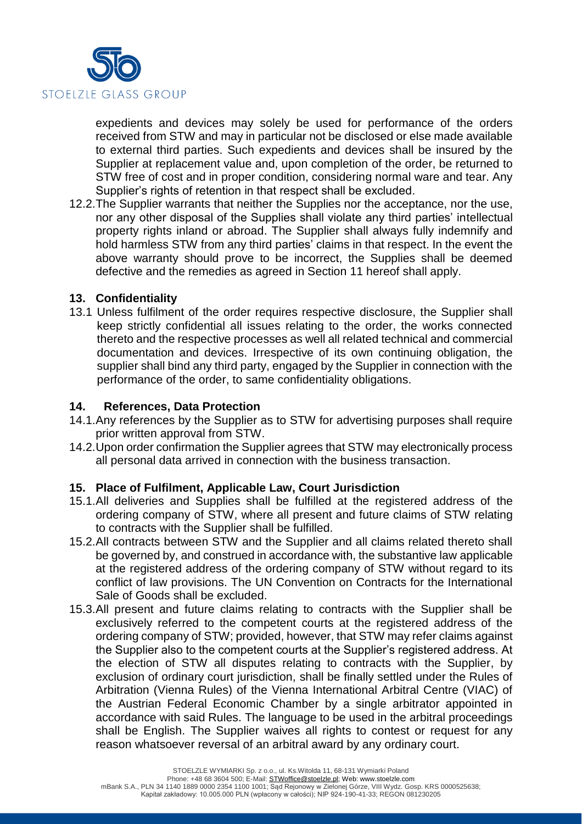

expedients and devices may solely be used for performance of the orders received from STW and may in particular not be disclosed or else made available to external third parties. Such expedients and devices shall be insured by the Supplier at replacement value and, upon completion of the order, be returned to STW free of cost and in proper condition, considering normal ware and tear. Any Supplier's rights of retention in that respect shall be excluded.

12.2.The Supplier warrants that neither the Supplies nor the acceptance, nor the use, nor any other disposal of the Supplies shall violate any third parties' intellectual property rights inland or abroad. The Supplier shall always fully indemnify and hold harmless STW from any third parties' claims in that respect. In the event the above warranty should prove to be incorrect, the Supplies shall be deemed defective and the remedies as agreed in Section 11 hereof shall apply.

### **13. Confidentiality**

13.1 Unless fulfilment of the order requires respective disclosure, the Supplier shall keep strictly confidential all issues relating to the order, the works connected thereto and the respective processes as well all related technical and commercial documentation and devices. Irrespective of its own continuing obligation, the supplier shall bind any third party, engaged by the Supplier in connection with the performance of the order, to same confidentiality obligations.

#### **14. References, Data Protection**

- 14.1.Any references by the Supplier as to STW for advertising purposes shall require prior written approval from STW.
- 14.2.Upon order confirmation the Supplier agrees that STW may electronically process all personal data arrived in connection with the business transaction.

### **15. Place of Fulfilment, Applicable Law, Court Jurisdiction**

- 15.1.All deliveries and Supplies shall be fulfilled at the registered address of the ordering company of STW, where all present and future claims of STW relating to contracts with the Supplier shall be fulfilled.
- 15.2.All contracts between STW and the Supplier and all claims related thereto shall be governed by, and construed in accordance with, the substantive law applicable at the registered address of the ordering company of STW without regard to its conflict of law provisions. The UN Convention on Contracts for the International Sale of Goods shall be excluded.
- 15.3.All present and future claims relating to contracts with the Supplier shall be exclusively referred to the competent courts at the registered address of the ordering company of STW; provided, however, that STW may refer claims against the Supplier also to the competent courts at the Supplier's registered address. At the election of STW all disputes relating to contracts with the Supplier, by exclusion of ordinary court jurisdiction, shall be finally settled under the Rules of Arbitration (Vienna Rules) of the Vienna International Arbitral Centre (VIAC) of the Austrian Federal Economic Chamber by a single arbitrator appointed in accordance with said Rules. The language to be used in the arbitral proceedings shall be English. The Supplier waives all rights to contest or request for any reason whatsoever reversal of an arbitral award by any ordinary court.